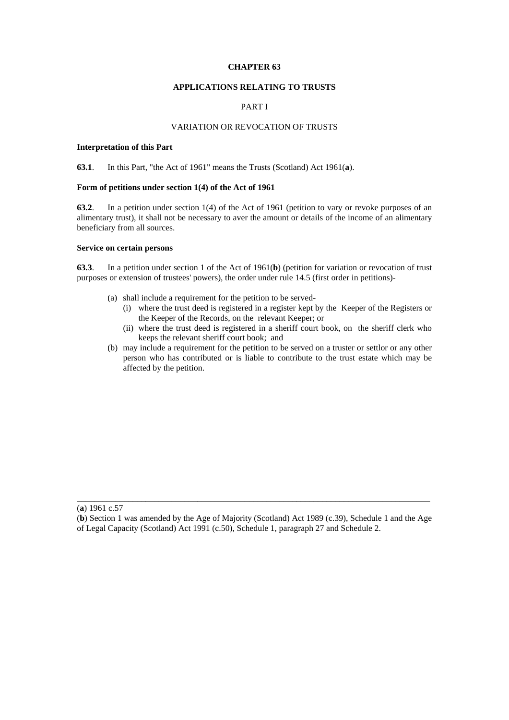### **CHAPTER 63**

# **APPLICATIONS RELATING TO TRUSTS**

# PART I

# VARIATION OR REVOCATION OF TRUSTS

### **Interpretation of this Part**

**63.1**. In this Part, "the Act of 1961" means the Trusts (Scotland) Act 1961(**a**).

#### **Form of petitions under section 1(4) of the Act of 1961**

**63.2**. In a petition under section 1(4) of the Act of 1961 (petition to vary or revoke purposes of an alimentary trust), it shall not be necessary to aver the amount or details of the income of an alimentary beneficiary from all sources.

## **Service on certain persons**

**63.3**. In a petition under section 1 of the Act of 1961(**b**) (petition for variation or revocation of trust purposes or extension of trustees' powers), the order under rule 14.5 (first order in petitions)-

- (a) shall include a requirement for the petition to be served-
	- (i) where the trust deed is registered in a register kept by the Keeper of the Registers or the Keeper of the Records, on the relevant Keeper; or
	- (ii) where the trust deed is registered in a sheriff court book, on the sheriff clerk who keeps the relevant sheriff court book; and
- (b) may include a requirement for the petition to be served on a truster or settlor or any other person who has contributed or is liable to contribute to the trust estate which may be affected by the petition.

\_\_\_\_\_\_\_\_\_\_\_\_\_\_\_\_\_\_\_\_\_\_\_\_\_\_\_\_\_\_\_\_\_\_\_\_\_\_\_\_\_\_\_\_\_\_\_\_\_\_\_\_\_\_\_\_\_\_\_\_\_\_\_\_\_\_\_\_\_\_\_\_\_\_\_\_\_\_\_\_\_\_

<sup>(</sup>**a**) 1961 c.57

<sup>(</sup>**b**) Section 1 was amended by the Age of Majority (Scotland) Act 1989 (c.39), Schedule 1 and the Age of Legal Capacity (Scotland) Act 1991 (c.50), Schedule 1, paragraph 27 and Schedule 2.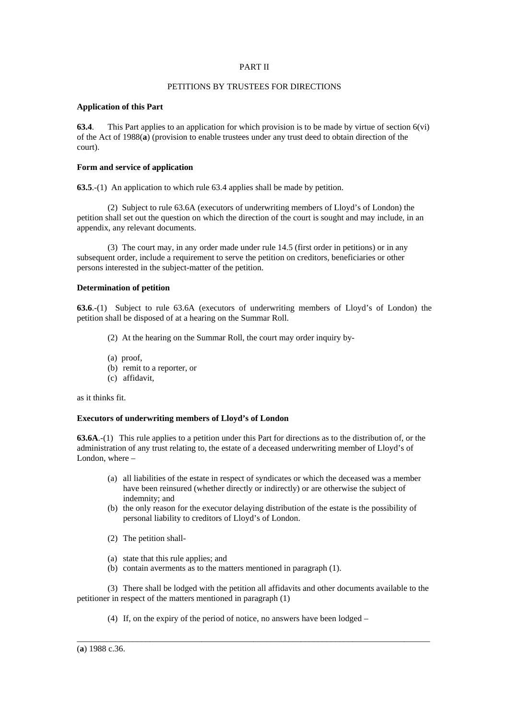# PART II

# PETITIONS BY TRUSTEES FOR DIRECTIONS

### **Application of this Part**

**63.4**. This Part applies to an application for which provision is to be made by virtue of section 6(vi) of the Act of 1988(**a**) (provision to enable trustees under any trust deed to obtain direction of the court).

### **Form and service of application**

**63.5**.-(1) An application to which rule 63.4 applies shall be made by petition.

 (2) Subject to rule 63.6A (executors of underwriting members of Lloyd's of London) the petition shall set out the question on which the direction of the court is sought and may include, in an appendix, any relevant documents.

 (3) The court may, in any order made under rule 14.5 (first order in petitions) or in any subsequent order, include a requirement to serve the petition on creditors, beneficiaries or other persons interested in the subject-matter of the petition.

# **Determination of petition**

**63.6**.-(1) Subject to rule 63.6A (executors of underwriting members of Lloyd's of London) the petition shall be disposed of at a hearing on the Summar Roll.

- (2) At the hearing on the Summar Roll, the court may order inquiry by-
- (a) proof,
- (b) remit to a reporter, or
- (c) affidavit,

as it thinks fit.

# **Executors of underwriting members of Lloyd's of London**

**63.6A**.-(1) This rule applies to a petition under this Part for directions as to the distribution of, or the administration of any trust relating to, the estate of a deceased underwriting member of Lloyd's of London, where –

- (a) all liabilities of the estate in respect of syndicates or which the deceased was a member have been reinsured (whether directly or indirectly) or are otherwise the subject of indemnity; and
- (b) the only reason for the executor delaying distribution of the estate is the possibility of personal liability to creditors of Lloyd's of London.
- (2) The petition shall-
- (a) state that this rule applies; and
- (b) contain averments as to the matters mentioned in paragraph (1).

(3) There shall be lodged with the petition all affidavits and other documents available to the petitioner in respect of the matters mentioned in paragraph (1)

\_\_\_\_\_\_\_\_\_\_\_\_\_\_\_\_\_\_\_\_\_\_\_\_\_\_\_\_\_\_\_\_\_\_\_\_\_\_\_\_\_\_\_\_\_\_\_\_\_\_\_\_\_\_\_\_\_\_\_\_\_\_\_\_\_\_\_\_\_\_\_\_\_\_\_\_\_\_\_\_\_\_

(4) If, on the expiry of the period of notice, no answers have been lodged –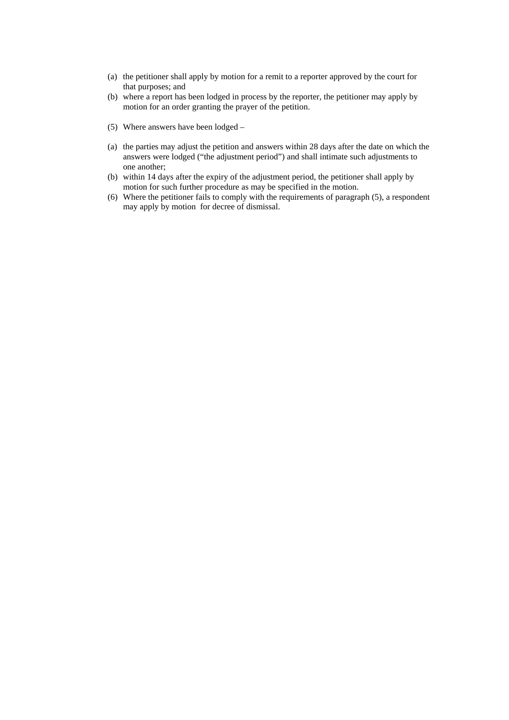- (a) the petitioner shall apply by motion for a remit to a reporter approved by the court for that purposes; and
- (b) where a report has been lodged in process by the reporter, the petitioner may apply by motion for an order granting the prayer of the petition.
- (5) Where answers have been lodged –
- (a) the parties may adjust the petition and answers within 28 days after the date on which the answers were lodged ("the adjustment period") and shall intimate such adjustments to one another;
- (b) within 14 days after the expiry of the adjustment period, the petitioner shall apply by motion for such further procedure as may be specified in the motion.
- (6) Where the petitioner fails to comply with the requirements of paragraph (5), a respondent may apply by motion for decree of dismissal.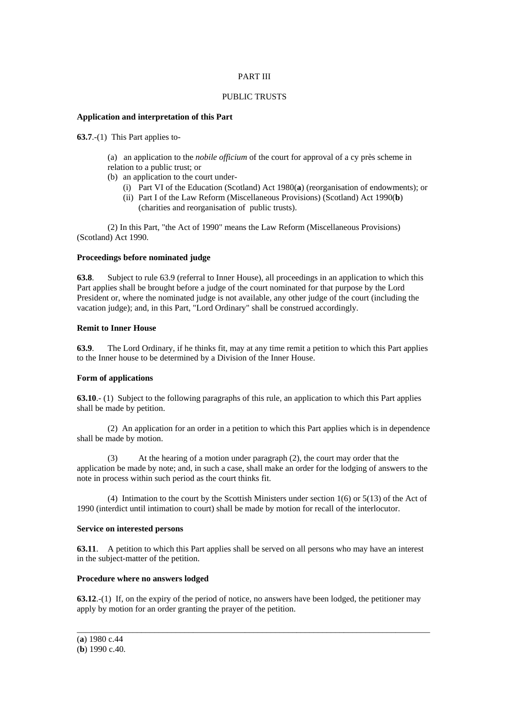# PART III

## PUBLIC TRUSTS

# **Application and interpretation of this Part**

**63.7**.-(1) This Part applies to-

(a) an application to the *nobile officium* of the court for approval of a cy près scheme in relation to a public trust; or

- (b) an application to the court under-
	- (i) Part VI of the Education (Scotland) Act 1980(**a**) (reorganisation of endowments); or
	- (ii) Part I of the Law Reform (Miscellaneous Provisions) (Scotland) Act 1990(**b**) (charities and reorganisation of public trusts).

 (2) In this Part, "the Act of 1990" means the Law Reform (Miscellaneous Provisions) (Scotland) Act 1990.

# **Proceedings before nominated judge**

**63.8**. Subject to rule 63.9 (referral to Inner House), all proceedings in an application to which this Part applies shall be brought before a judge of the court nominated for that purpose by the Lord President or, where the nominated judge is not available, any other judge of the court (including the vacation judge); and, in this Part, "Lord Ordinary" shall be construed accordingly.

# **Remit to Inner House**

**63.9**. The Lord Ordinary, if he thinks fit, may at any time remit a petition to which this Part applies to the Inner house to be determined by a Division of the Inner House.

### **Form of applications**

**63.10**.- (1) Subject to the following paragraphs of this rule, an application to which this Part applies shall be made by petition.

 (2) An application for an order in a petition to which this Part applies which is in dependence shall be made by motion.

At the hearing of a motion under paragraph  $(2)$ , the court may order that the application be made by note; and, in such a case, shall make an order for the lodging of answers to the note in process within such period as the court thinks fit.

 (4) Intimation to the court by the Scottish Ministers under section 1(6) or 5(13) of the Act of 1990 (interdict until intimation to court) shall be made by motion for recall of the interlocutor.

# **Service on interested persons**

**63.11**. A petition to which this Part applies shall be served on all persons who may have an interest in the subject-matter of the petition.

## **Procedure where no answers lodged**

**63.12**.-(1) If, on the expiry of the period of notice, no answers have been lodged, the petitioner may apply by motion for an order granting the prayer of the petition.

\_\_\_\_\_\_\_\_\_\_\_\_\_\_\_\_\_\_\_\_\_\_\_\_\_\_\_\_\_\_\_\_\_\_\_\_\_\_\_\_\_\_\_\_\_\_\_\_\_\_\_\_\_\_\_\_\_\_\_\_\_\_\_\_\_\_\_\_\_\_\_\_\_\_\_\_\_\_\_\_\_\_